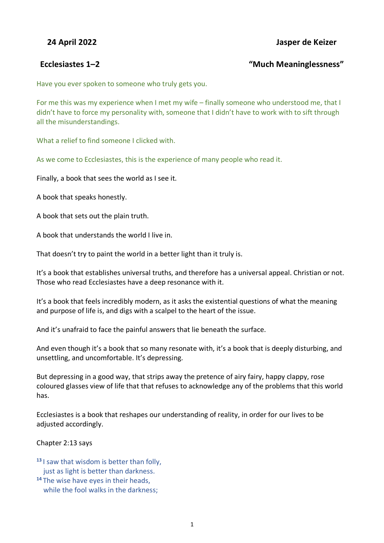## **24 April 2022 Jasper de Keizer**

## **Ecclesiastes 1–2 "Much Meaninglessness"**

Have you ever spoken to someone who truly gets you.

For me this was my experience when I met my wife – finally someone who understood me, that I didn't have to force my personality with, someone that I didn't have to work with to sift through all the misunderstandings.

What a relief to find someone I clicked with.

As we come to Ecclesiastes, this is the experience of many people who read it.

Finally, a book that sees the world as I see it.

A book that speaks honestly.

A book that sets out the plain truth.

A book that understands the world I live in.

That doesn't try to paint the world in a better light than it truly is.

It's a book that establishes universal truths, and therefore has a universal appeal. Christian or not. Those who read Ecclesiastes have a deep resonance with it.

It's a book that feels incredibly modern, as it asks the existential questions of what the meaning and purpose of life is, and digs with a scalpel to the heart of the issue.

And it's unafraid to face the painful answers that lie beneath the surface.

And even though it's a book that so many resonate with, it's a book that is deeply disturbing, and unsettling, and uncomfortable. It's depressing.

But depressing in a good way, that strips away the pretence of airy fairy, happy clappy, rose coloured glasses view of life that that refuses to acknowledge any of the problems that this world has.

Ecclesiastes is a book that reshapes our understanding of reality, in order for our lives to be adjusted accordingly.

Chapter 2:13 says

**<sup>13</sup>**I saw that wisdom is better than folly, just as light is better than darkness.

**<sup>14</sup>**The wise have eyes in their heads, while the fool walks in the darkness;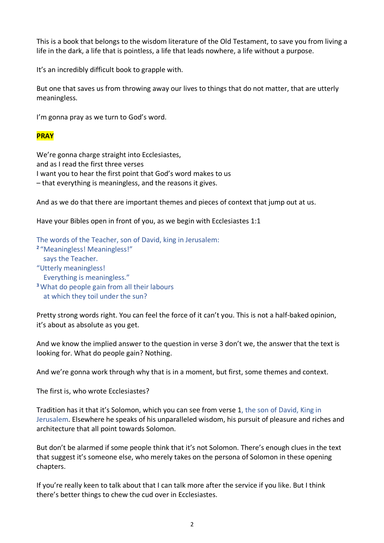This is a book that belongs to the wisdom literature of the Old Testament, to save you from living a life in the dark, a life that is pointless, a life that leads nowhere, a life without a purpose.

It's an incredibly difficult book to grapple with.

But one that saves us from throwing away our lives to things that do not matter, that are utterly meaningless.

I'm gonna pray as we turn to God's word.

## **PRAY**

We're gonna charge straight into Ecclesiastes, and as I read the first three verses I want you to hear the first point that God's word makes to us – that everything is meaningless, and the reasons it gives.

And as we do that there are important themes and pieces of context that jump out at us.

Have your Bibles open in front of you, as we begin with Ecclesiastes 1:1

The words of the Teacher, son of David, king in Jerusalem: **<sup>2</sup>**"Meaningless! Meaningless!" says the Teacher. "Utterly meaningless! Everything is meaningless." **<sup>3</sup>**What do people gain from all their labours at which they toil under the sun?

Pretty strong words right. You can feel the force of it can't you. This is not a half-baked opinion, it's about as absolute as you get.

And we know the implied answer to the question in verse 3 don't we, the answer that the text is looking for. What do people gain? Nothing.

And we're gonna work through why that is in a moment, but first, some themes and context.

The first is, who wrote Ecclesiastes?

Tradition has it that it's Solomon, which you can see from verse 1, the son of David, King in Jerusalem. Elsewhere he speaks of his unparalleled wisdom, his pursuit of pleasure and riches and architecture that all point towards Solomon.

But don't be alarmed if some people think that it's not Solomon. There's enough clues in the text that suggest it's someone else, who merely takes on the persona of Solomon in these opening chapters.

If you're really keen to talk about that I can talk more after the service if you like. But I think there's better things to chew the cud over in Ecclesiastes.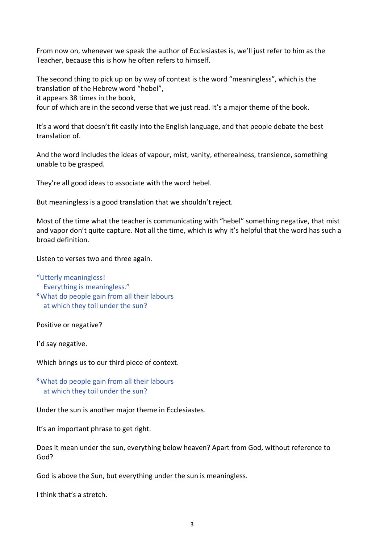From now on, whenever we speak the author of Ecclesiastes is, we'll just refer to him as the Teacher, because this is how he often refers to himself.

The second thing to pick up on by way of context is the word "meaningless", which is the translation of the Hebrew word "hebel",

it appears 38 times in the book,

four of which are in the second verse that we just read. It's a major theme of the book.

It's a word that doesn't fit easily into the English language, and that people debate the best translation of.

And the word includes the ideas of vapour, mist, vanity, etherealness, transience, something unable to be grasped.

They're all good ideas to associate with the word hebel.

But meaningless is a good translation that we shouldn't reject.

Most of the time what the teacher is communicating with "hebel" something negative, that mist and vapor don't quite capture. Not all the time, which is why it's helpful that the word has such a broad definition.

Listen to verses two and three again.

"Utterly meaningless! Everything is meaningless." **<sup>3</sup>**What do people gain from all their labours at which they toil under the sun?

Positive or negative?

I'd say negative.

Which brings us to our third piece of context.

**<sup>3</sup>**What do people gain from all their labours at which they toil under the sun?

Under the sun is another major theme in Ecclesiastes.

It's an important phrase to get right.

Does it mean under the sun, everything below heaven? Apart from God, without reference to God?

God is above the Sun, but everything under the sun is meaningless.

I think that's a stretch.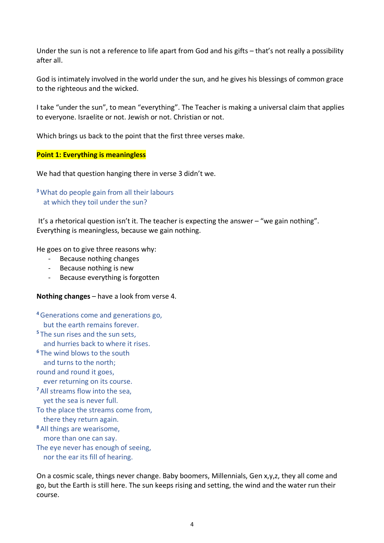Under the sun is not a reference to life apart from God and his gifts – that's not really a possibility after all.

God is intimately involved in the world under the sun, and he gives his blessings of common grace to the righteous and the wicked.

I take "under the sun", to mean "everything". The Teacher is making a universal claim that applies to everyone. Israelite or not. Jewish or not. Christian or not.

Which brings us back to the point that the first three verses make.

### **Point 1: Everything is meaningless**

We had that question hanging there in verse 3 didn't we.

# **<sup>3</sup>**What do people gain from all their labours at which they toil under the sun?

 It's a rhetorical question isn't it. The teacher is expecting the answer – "we gain nothing". Everything is meaningless, because we gain nothing.

He goes on to give three reasons why:

- Because nothing changes
- Because nothing is new
- Because everything is forgotten

**Nothing changes** – have a look from verse 4.

**<sup>4</sup>**Generations come and generations go, but the earth remains forever. **<sup>5</sup>**The sun rises and the sun sets, and hurries back to where it rises. **<sup>6</sup>**The wind blows to the south and turns to the north; round and round it goes, ever returning on its course. **<sup>7</sup>**All streams flow into the sea, yet the sea is never full. To the place the streams come from, there they return again. **<sup>8</sup>**All things are wearisome, more than one can say. The eye never has enough of seeing, nor the ear its fill of hearing.

On a cosmic scale, things never change. Baby boomers, Millennials, Gen x,y,z, they all come and go, but the Earth is still here. The sun keeps rising and setting, the wind and the water run their course.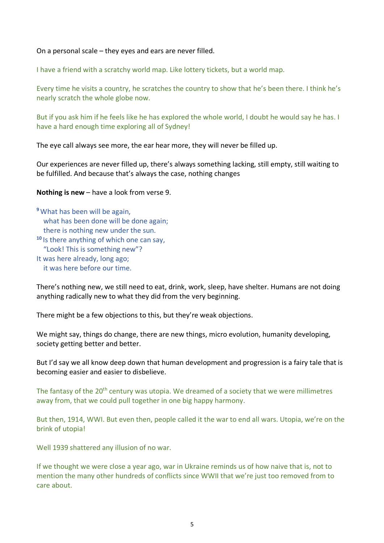On a personal scale – they eyes and ears are never filled.

I have a friend with a scratchy world map. Like lottery tickets, but a world map.

Every time he visits a country, he scratches the country to show that he's been there. I think he's nearly scratch the whole globe now.

But if you ask him if he feels like he has explored the whole world, I doubt he would say he has. I have a hard enough time exploring all of Sydney!

The eye call always see more, the ear hear more, they will never be filled up.

Our experiences are never filled up, there's always something lacking, still empty, still waiting to be fulfilled. And because that's always the case, nothing changes

**Nothing is new** – have a look from verse 9.

**<sup>9</sup>**What has been will be again, what has been done will be done again; there is nothing new under the sun. **<sup>10</sup>**Is there anything of which one can say, "Look! This is something new"? It was here already, long ago; it was here before our time.

There's nothing new, we still need to eat, drink, work, sleep, have shelter. Humans are not doing anything radically new to what they did from the very beginning.

There might be a few objections to this, but they're weak objections.

We might say, things do change, there are new things, micro evolution, humanity developing, society getting better and better.

But I'd say we all know deep down that human development and progression is a fairy tale that is becoming easier and easier to disbelieve.

The fantasy of the 20<sup>th</sup> century was utopia. We dreamed of a society that we were millimetres away from, that we could pull together in one big happy harmony.

But then, 1914, WWI. But even then, people called it the war to end all wars. Utopia, we're on the brink of utopia!

Well 1939 shattered any illusion of no war.

If we thought we were close a year ago, war in Ukraine reminds us of how naive that is, not to mention the many other hundreds of conflicts since WWII that we're just too removed from to care about.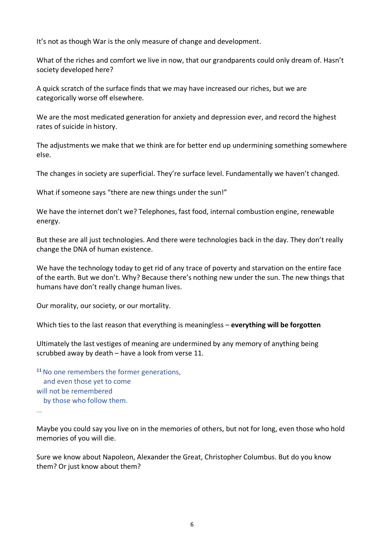It's not as though War is the only measure of change and development.

What of the riches and comfort we live in now, that our grandparents could only dream of. Hasn't society developed here?

A quick scratch of the surface finds that we may have increased our riches, but we are categorically worse off elsewhere.

We are the most medicated generation for anxiety and depression ever, and record the highest rates of suicide in history.

The adjustments we make that we think are for better end up undermining something somewhere else.

The changes in society are superficial. They're surface level. Fundamentally we haven't changed.

What if someone says "there are new things under the sun!"

We have the internet don't we? Telephones, fast food, internal combustion engine, renewable energy.

But these are all just technologies. And there were technologies back in the day. They don't really change the DNA of human existence.

We have the technology today to get rid of any trace of poverty and starvation on the entire face of the earth. But we don't. Why? Because there's nothing new under the sun. The new things that humans have don't really change human lives.

Our morality, our society, or our mortality.

Which ties to the last reason that everything is meaningless – **everything will be forgotten**

Ultimately the last vestiges of meaning are undermined by any memory of anything being scrubbed away by death – have a look from verse 11.

**<sup>11</sup>**No one remembers the former generations, and even those yet to come will not be remembered by those who follow them.

…

Maybe you could say you live on in the memories of others, but not for long, even those who hold memories of you will die.

Sure we know about Napoleon, Alexander the Great, Christopher Columbus. But do you know them? Or just know about them?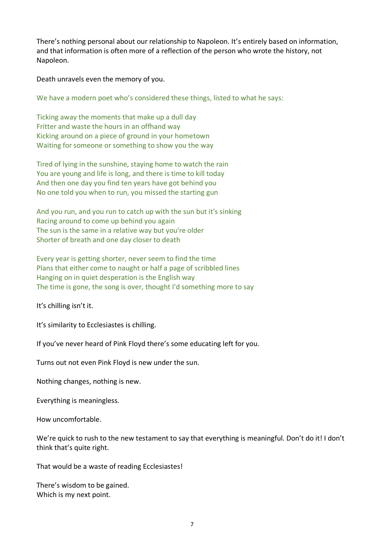There's nothing personal about our relationship to Napoleon. It's entirely based on information, and that information is often more of a reflection of the person who wrote the history, not Napoleon.

Death unravels even the memory of you.

We have a modern poet who's considered these things, listed to what he says:

Ticking away the moments that make up a dull day Fritter and waste the hours in an offhand way Kicking around on a piece of ground in your hometown Waiting for someone or something to show you the way

Tired of lying in the sunshine, staying home to watch the rain You are young and life is long, and there is time to kill today And then one day you find ten years have got behind you No one told you when to run, you missed the starting gun

And you run, and you run to catch up with the sun but it's sinking Racing around to come up behind you again The sun is the same in a relative way but you're older Shorter of breath and one day closer to death

Every year is getting shorter, never seem to find the time Plans that either come to naught or half a page of scribbled lines Hanging on in quiet desperation is the English way The time is gone, the song is over, thought I'd something more to say

It's chilling isn't it.

It's similarity to Ecclesiastes is chilling.

If you've never heard of Pink Floyd there's some educating left for you.

Turns out not even Pink Floyd is new under the sun.

Nothing changes, nothing is new.

Everything is meaningless.

How uncomfortable.

We're quick to rush to the new testament to say that everything is meaningful. Don't do it! I don't think that's quite right.

That would be a waste of reading Ecclesiastes!

There's wisdom to be gained. Which is my next point.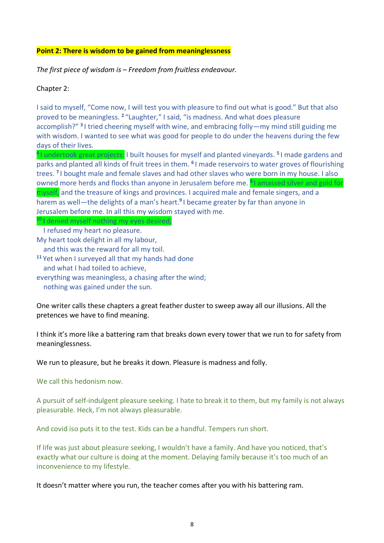#### **Point 2: There is wisdom to be gained from meaninglessness**

*The first piece of wisdom is – Freedom from fruitless endeavour.* 

Chapter 2:

I said to myself, "Come now, I will test you with pleasure to find out what is good." But that also proved to be meaningless. **<sup>2</sup>**"Laughter," I said, "is madness. And what does pleasure accomplish?" **<sup>3</sup>**I tried cheering myself with wine, and embracing folly—my mind still guiding me with wisdom. I wanted to see what was good for people to do under the heavens during the few days of their lives.

**<sup>4</sup>**I undertook great projects: I built houses for myself and planted vineyards. **<sup>5</sup>**I made gardens and parks and planted all kinds of fruit trees in them. **<sup>6</sup>**I made reservoirs to water groves of flourishing trees. **<sup>7</sup>**I bought male and female slaves and had other slaves who were born in my house. I also owned more herds and flocks than anyone in Jerusalem before me. **<sup>8</sup>**I amassed silver and gold for

myself, and the treasure of kings and provinces. I acquired male and female singers, and a harem as well—the delights of a man's heart.**<sup>9</sup>**I became greater by far than anyone in Jerusalem before me. In all this my wisdom stayed with me.

**10 I** denied myself nothing my eyes desired;

 I refused my heart no pleasure. My heart took delight in all my labour, and this was the reward for all my toil. **<sup>11</sup>**Yet when I surveyed all that my hands had done and what I had toiled to achieve, everything was meaningless, a chasing after the wind; nothing was gained under the sun.

One writer calls these chapters a great feather duster to sweep away all our illusions. All the pretences we have to find meaning.

I think it's more like a battering ram that breaks down every tower that we run to for safety from meaninglessness.

We run to pleasure, but he breaks it down. Pleasure is madness and folly.

We call this hedonism now.

A pursuit of self-indulgent pleasure seeking. I hate to break it to them, but my family is not always pleasurable. Heck, I'm not always pleasurable.

And covid iso puts it to the test. Kids can be a handful. Tempers run short.

If life was just about pleasure seeking, I wouldn't have a family. And have you noticed, that's exactly what our culture is doing at the moment. Delaying family because it's too much of an inconvenience to my lifestyle.

It doesn't matter where you run, the teacher comes after you with his battering ram.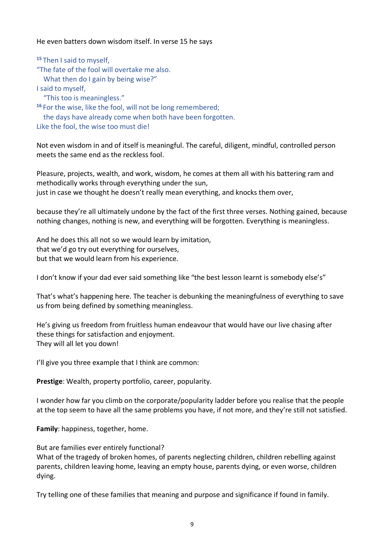He even batters down wisdom itself. In verse 15 he says

**<sup>15</sup>**Then I said to myself, "The fate of the fool will overtake me also. What then do I gain by being wise?" I said to myself, "This too is meaningless." **<sup>16</sup>**For the wise, like the fool, will not be long remembered; the days have already come when both have been forgotten. Like the fool, the wise too must die!

Not even wisdom in and of itself is meaningful. The careful, diligent, mindful, controlled person meets the same end as the reckless fool.

Pleasure, projects, wealth, and work, wisdom, he comes at them all with his battering ram and methodically works through everything under the sun, just in case we thought he doesn't really mean everything, and knocks them over,

because they're all ultimately undone by the fact of the first three verses. Nothing gained, because nothing changes, nothing is new, and everything will be forgotten. Everything is meaningless.

And he does this all not so we would learn by imitation, that we'd go try out everything for ourselves, but that we would learn from his experience.

I don't know if your dad ever said something like "the best lesson learnt is somebody else's"

That's what's happening here. The teacher is debunking the meaningfulness of everything to save us from being defined by something meaningless.

He's giving us freedom from fruitless human endeavour that would have our live chasing after these things for satisfaction and enjoyment. They will all let you down!

I'll give you three example that I think are common:

**Prestige**: Wealth, property portfolio, career, popularity.

I wonder how far you climb on the corporate/popularity ladder before you realise that the people at the top seem to have all the same problems you have, if not more, and they're still not satisfied.

**Family**: happiness, together, home.

But are families ever entirely functional?

What of the tragedy of broken homes, of parents neglecting children, children rebelling against parents, children leaving home, leaving an empty house, parents dying, or even worse, children dying.

Try telling one of these families that meaning and purpose and significance if found in family.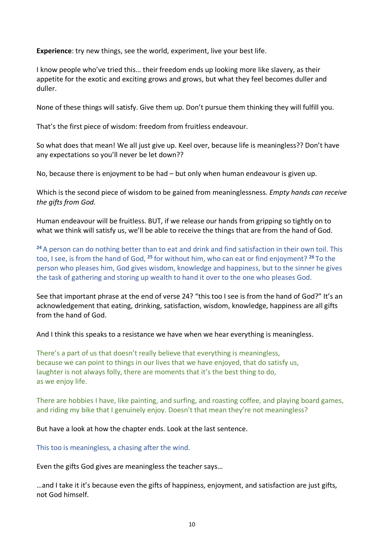**Experience**: try new things, see the world, experiment, live your best life.

I know people who've tried this… their freedom ends up looking more like slavery, as their appetite for the exotic and exciting grows and grows, but what they feel becomes duller and duller.

None of these things will satisfy. Give them up. Don't pursue them thinking they will fulfill you.

That's the first piece of wisdom: freedom from fruitless endeavour.

So what does that mean! We all just give up. Keel over, because life is meaningless?? Don't have any expectations so you'll never be let down??

No, because there is enjoyment to be had – but only when human endeavour is given up.

Which is the second piece of wisdom to be gained from meaninglessness. *Empty hands can receive the gifts from God.*

Human endeavour will be fruitless. BUT, if we release our hands from gripping so tightly on to what we think will satisfy us, we'll be able to receive the things that are from the hand of God.

**<sup>24</sup>**A person can do nothing better than to eat and drink and find satisfaction in their own toil. This too, I see, is from the hand of God, **<sup>25</sup>**for without him, who can eat or find enjoyment? **<sup>26</sup>**To the person who pleases him, God gives wisdom, knowledge and happiness, but to the sinner he gives the task of gathering and storing up wealth to hand it over to the one who pleases God.

See that important phrase at the end of verse 24? "this too I see is from the hand of God?" It's an acknowledgement that eating, drinking, satisfaction, wisdom, knowledge, happiness are all gifts from the hand of God.

And I think this speaks to a resistance we have when we hear everything is meaningless.

There's a part of us that doesn't really believe that everything is meaningless, because we can point to things in our lives that we have enjoyed, that do satisfy us, laughter is not always folly, there are moments that it's the best thing to do, as we enjoy life.

There are hobbies I have, like painting, and surfing, and roasting coffee, and playing board games, and riding my bike that I genuinely enjoy. Doesn't that mean they're not meaningless?

But have a look at how the chapter ends. Look at the last sentence.

This too is meaningless, a chasing after the wind.

Even the gifts God gives are meaningless the teacher says…

…and I take it it's because even the gifts of happiness, enjoyment, and satisfaction are just gifts, not God himself.